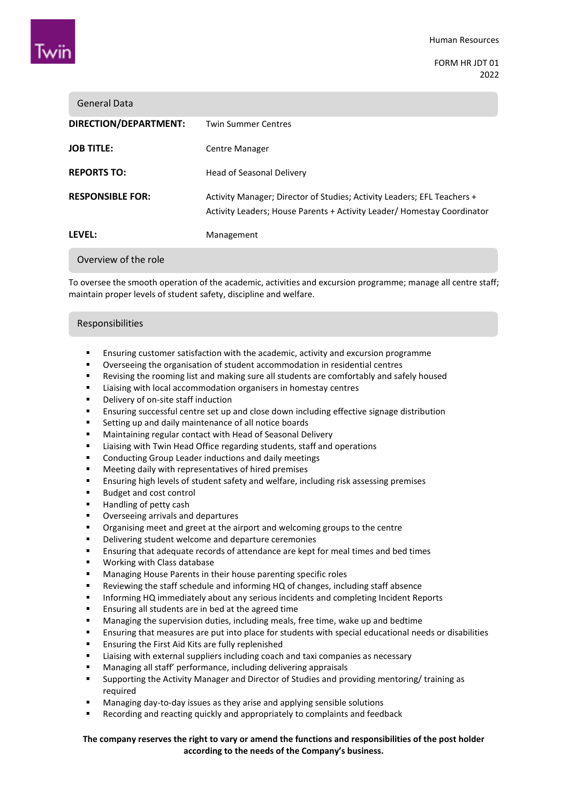

FORM HR JDT 01 2022

| General Data            |                                                                                                                                                    |
|-------------------------|----------------------------------------------------------------------------------------------------------------------------------------------------|
| DIRECTION/DEPARTMENT:   | <b>Twin Summer Centres</b>                                                                                                                         |
| <b>JOB TITLE:</b>       | Centre Manager                                                                                                                                     |
| <b>REPORTS TO:</b>      | Head of Seasonal Delivery                                                                                                                          |
| <b>RESPONSIBLE FOR:</b> | Activity Manager; Director of Studies; Activity Leaders; EFL Teachers +<br>Activity Leaders; House Parents + Activity Leader/ Homestay Coordinator |
| <b>LFVFL:</b>           | Management                                                                                                                                         |
|                         |                                                                                                                                                    |

Overview of the role

To oversee the smooth operation of the academic, activities and excursion programme; manage all centre staff; maintain proper levels of student safety, discipline and welfare.

### Responsibilities

- Ensuring customer satisfaction with the academic, activity and excursion programme
- Overseeing the organisation of student accommodation in residential centres
- Revising the rooming list and making sure all students are comfortably and safely housed
- **EXECT** Liaising with local accommodation organisers in homestay centres
- Delivery of on-site staff induction
- Ensuring successful centre set up and close down including effective signage distribution
- **EXECT:** Setting up and daily maintenance of all notice boards
- Maintaining regular contact with Head of Seasonal Delivery
- **E** Liaising with Twin Head Office regarding students, staff and operations
- **EXECONDERGIVE CONDUCTION** Conductions and daily meetings
- Meeting daily with representatives of hired premises
- Ensuring high levels of student safety and welfare, including risk assessing premises
- Budget and cost control
- Handling of petty cash
- **•** Overseeing arrivals and departures
- Organising meet and greet at the airport and welcoming groups to the centre
- **•** Delivering student welcome and departure ceremonies
- Ensuring that adequate records of attendance are kept for meal times and bed times
- Working with Class database
- **Managing House Parents in their house parenting specific roles**
- Reviewing the staff schedule and informing HQ of changes, including staff absence
- Informing HQ immediately about any serious incidents and completing Incident Reports
- Ensuring all students are in bed at the agreed time
- **Managing the supervision duties, including meals, free time, wake up and bedtime**
- Ensuring that measures are put into place for students with special educational needs or disabilities
- **Ensuring the First Aid Kits are fully replenished**
- Liaising with external suppliers including coach and taxi companies as necessary
- Managing all staff' performance, including delivering appraisals
- Supporting the Activity Manager and Director of Studies and providing mentoring/ training as required
- Managing day-to-day issues as they arise and applying sensible solutions
- Recording and reacting quickly and appropriately to complaints and feedback

# **The company reserves the right to vary or amend the functions and responsibilities of the post holder according to the needs of the Company's business.**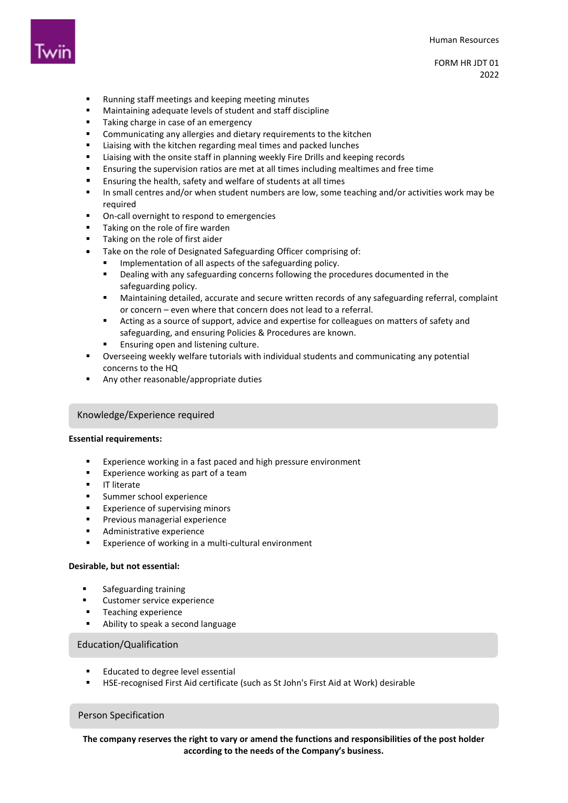

FORM HR JDT 01 2022

- **Running staff meetings and keeping meeting minutes**
- Maintaining adequate levels of student and staff discipline
- **Taking charge in case of an emergency**
- **EXECOMMUNICATION COMMUNICATION** Communicating any allergies and dietary requirements to the kitchen
- **EXECT** Liaising with the kitchen regarding meal times and packed lunches
- Liaising with the onsite staff in planning weekly Fire Drills and keeping records
- Ensuring the supervision ratios are met at all times including mealtimes and free time
- Ensuring the health, safety and welfare of students at all times
- In small centres and/or when student numbers are low, some teaching and/or activities work may be required
- On-call overnight to respond to emergencies
- Taking on the role of fire warden
- Taking on the role of first aider
- Take on the role of Designated Safeguarding Officer comprising of:
	- Implementation of all aspects of the safeguarding policy.
		- Dealing with any safeguarding concerns following the procedures documented in the safeguarding policy.
	- Maintaining detailed, accurate and secure written records of any safeguarding referral, complaint or concern – even where that concern does not lead to a referral.
	- Acting as a source of support, advice and expertise for colleagues on matters of safety and safeguarding, and ensuring Policies & Procedures are known.
	- Ensuring open and listening culture.
- Overseeing weekly welfare tutorials with individual students and communicating any potential concerns to the HQ
- Any other reasonable/appropriate duties

# Knowledge/Experience required

### **Essential requirements:**

- Experience working in a fast paced and high pressure environment
- **Experience working as part of a team**
- **IT literate**
- Summer school experience
- **Experience of supervising minors**
- **Previous managerial experience**
- **Administrative experience**
- **Experience of working in a multi-cultural environment**

#### **Desirable, but not essential:**

- **s** Safeguarding training
- Customer service experience
- Teaching experience
- Ability to speak a second language

## Education/Qualification

- Educated to degree level essential
- HSE-recognised First Aid certificate (such as St John's First Aid at Work) desirable

### Person Specification

**The company reserves the right to vary or amend the functions and responsibilities of the post holder according to the needs of the Company's business.**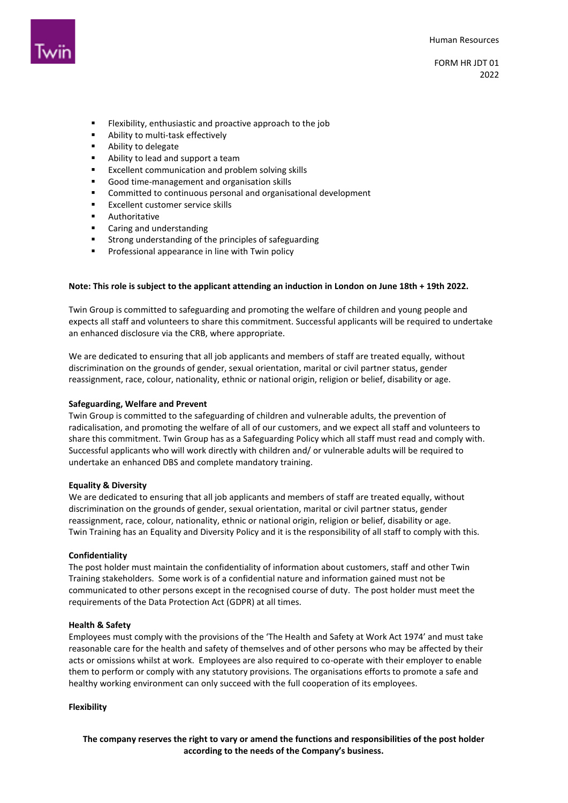

- Flexibility, enthusiastic and proactive approach to the job
- Ability to multi-task effectively
- **Ability to delegate**
- Ability to lead and support a team
- **Excellent communication and problem solving skills**
- Good time-management and organisation skills
- Committed to continuous personal and organisational development
- Excellent customer service skills
- **Authoritative**
- Caring and understanding
- Strong understanding of the principles of safeguarding
- **Professional appearance in line with Twin policy**

#### **Note: This role is subject to the applicant attending an induction in London on June 18th + 19th 2022.**

Twin Group is committed to safeguarding and promoting the welfare of children and young people and expects all staff and volunteers to share this commitment. Successful applicants will be required to undertake an enhanced disclosure via the CRB, where appropriate.

We are dedicated to ensuring that all job applicants and members of staff are treated equally, without discrimination on the grounds of gender, sexual orientation, marital or civil partner status, gender reassignment, race, colour, nationality, ethnic or national origin, religion or belief, disability or age.

#### **Safeguarding, Welfare and Prevent**

Twin Group is committed to the safeguarding of children and vulnerable adults, the prevention of radicalisation, and promoting the welfare of all of our customers, and we expect all staff and volunteers to share this commitment. Twin Group has as a Safeguarding Policy which all staff must read and comply with. Successful applicants who will work directly with children and/ or vulnerable adults will be required to undertake an enhanced DBS and complete mandatory training.

#### **Equality & Diversity**

We are dedicated to ensuring that all job applicants and members of staff are treated equally, without discrimination on the grounds of gender, sexual orientation, marital or civil partner status, gender reassignment, race, colour, nationality, ethnic or national origin, religion or belief, disability or age. Twin Training has an Equality and Diversity Policy and it is the responsibility of all staff to comply with this.

#### **Confidentiality**

The post holder must maintain the confidentiality of information about customers, staff and other Twin Training stakeholders. Some work is of a confidential nature and information gained must not be communicated to other persons except in the recognised course of duty. The post holder must meet the requirements of the Data Protection Act (GDPR) at all times.

#### **Health & Safety**

Employees must comply with the provisions of the 'The Health and Safety at Work Act 1974' and must take reasonable care for the health and safety of themselves and of other persons who may be affected by their acts or omissions whilst at work. Employees are also required to co-operate with their employer to enable them to perform or comply with any statutory provisions. The organisations efforts to promote a safe and healthy working environment can only succeed with the full cooperation of its employees.

#### **Flexibility**

**The company reserves the right to vary or amend the functions and responsibilities of the post holder according to the needs of the Company's business.**